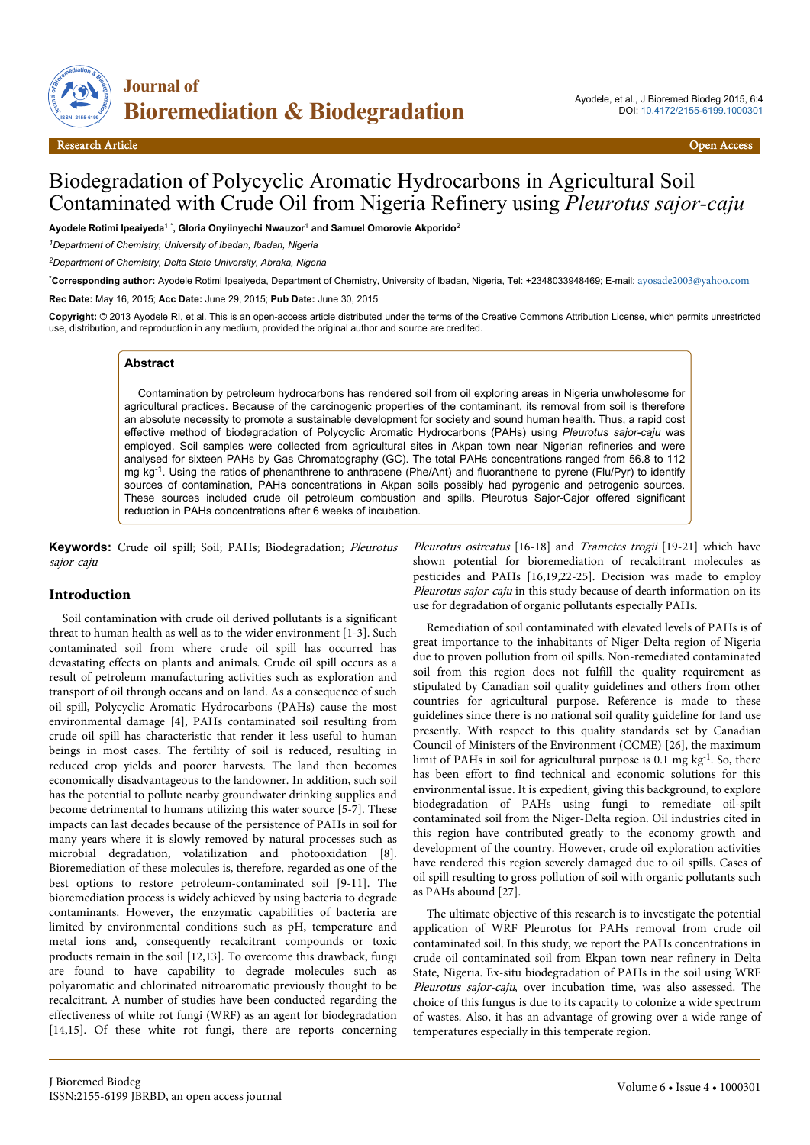

# Biodegradation of Polycyclic Aromatic Hydrocarbons in Agricultural Soil Contaminated with Crude Oil from Nigeria Refinery using *Pleurotus sajor-caju*

**Ayodele Rotimi Ipeaiyeda**1,\***, Gloria Onyiinyechi Nwauzor**<sup>1</sup>  **and Samuel Omorovie Akporido**<sup>2</sup>

*<sup>1</sup>Department of Chemistry, University of Ibadan, Ibadan, Nigeria*

*<sup>2</sup>Department of Chemistry, Delta State University, Abraka, Nigeria*

\***Corresponding author:** Ayodele Rotimi Ipeaiyeda, Department of Chemistry, University of Ibadan, Nigeria, Tel: +2348033948469; E-mail: [ayosade2003@yahoo.com](mailto:ayosade2003@yahoo.com)

**Rec Date:** May 16, 2015; **Acc Date:** June 29, 2015; **Pub Date:** June 30, 2015

**Copyright:** © 2013 Ayodele RI, et al. This is an open-access article distributed under the terms of the Creative Commons Attribution License, which permits unrestricted use, distribution, and reproduction in any medium, provided the original author and source are credited.

## **Abstract**

Contamination by petroleum hydrocarbons has rendered soil from oil exploring areas in Nigeria unwholesome for agricultural practices. Because of the carcinogenic properties of the contaminant, its removal from soil is therefore an absolute necessity to promote a sustainable development for society and sound human health. Thus, a rapid cost effective method of biodegradation of Polycyclic Aromatic Hydrocarbons (PAHs) using *Pleurotus sajor-caju* was employed. Soil samples were collected from agricultural sites in Akpan town near Nigerian refineries and were analysed for sixteen PAHs by Gas Chromatography (GC). The total PAHs concentrations ranged from 56.8 to 112 mg kg<sup>-1</sup>. Using the ratios of phenanthrene to anthracene (Phe/Ant) and fluoranthene to pyrene (Flu/Pyr) to identify sources of contamination, PAHs concentrations in Akpan soils possibly had pyrogenic and petrogenic sources. These sources included crude oil petroleum combustion and spills. Pleurotus Sajor-Cajor offered significant reduction in PAHs concentrations after 6 weeks of incubation.

**Keywords:** Crude oil spill; Soil; PAHs; Biodegradation; Pleurotus sajor-caju

#### **Introduction**

Soil contamination with crude oil derived pollutants is a significant threat to human health as well as to the wider environment [1-3]. Such contaminated soil from where crude oil spill has occurred has devastating effects on plants and animals. Crude oil spill occurs as a result of petroleum manufacturing activities such as exploration and transport of oil through oceans and on land. As a consequence of such oil spill, Polycyclic Aromatic Hydrocarbons (PAHs) cause the most environmental damage [4], PAHs contaminated soil resulting from crude oil spill has characteristic that render it less useful to human beings in most cases. The fertility of soil is reduced, resulting in reduced crop yields and poorer harvests. The land then becomes economically disadvantageous to the landowner. In addition, such soil has the potential to pollute nearby groundwater drinking supplies and become detrimental to humans utilizing this water source [5-7]. These impacts can last decades because of the persistence of PAHs in soil for many years where it is slowly removed by natural processes such as microbial degradation, volatilization and photooxidation [8]. Bioremediation of these molecules is, therefore, regarded as one of the best options to restore petroleum-contaminated soil [9-11]. The bioremediation process is widely achieved by using bacteria to degrade contaminants. However, the enzymatic capabilities of bacteria are limited by environmental conditions such as pH, temperature and metal ions and, consequently recalcitrant compounds or toxic products remain in the soil [12,13]. To overcome this drawback, fungi are found to have capability to degrade molecules such as polyaromatic and chlorinated nitroaromatic previously thought to be recalcitrant. A number of studies have been conducted regarding the effectiveness of white rot fungi (WRF) as an agent for biodegradation [14,15]. Of these white rot fungi, there are reports concerning

Pleurotus ostreatus [16-18] and Trametes trogii [19-21] which have shown potential for bioremediation of recalcitrant molecules as pesticides and PAHs [16,19,22-25]. Decision was made to employ Pleurotus sajor-caju in this study because of dearth information on its use for degradation of organic pollutants especially PAHs.

Remediation of soil contaminated with elevated levels of PAHs is of great importance to the inhabitants of Niger-Delta region of Nigeria due to proven pollution from oil spills. Non-remediated contaminated soil from this region does not fulfill the quality requirement as stipulated by Canadian soil quality guidelines and others from other countries for agricultural purpose. Reference is made to these guidelines since there is no national soil quality guideline for land use presently. With respect to this quality standards set by Canadian Council of Ministers of the Environment (CCME) [26], the maximum limit of PAHs in soil for agricultural purpose is 0.1 mg kg<sup>-1</sup>. So, there has been effort to find technical and economic solutions for this environmental issue. It is expedient, giving this background, to explore biodegradation of PAHs using fungi to remediate oil-spilt contaminated soil from the Niger-Delta region. Oil industries cited in this region have contributed greatly to the economy growth and development of the country. However, crude oil exploration activities have rendered this region severely damaged due to oil spills. Cases of oil spill resulting to gross pollution of soil with organic pollutants such as PAHs abound [27].

The ultimate objective of this research is to investigate the potential application of WRF Pleurotus for PAHs removal from crude oil contaminated soil. In this study, we report the PAHs concentrations in crude oil contaminated soil from Ekpan town near refinery in Delta State, Nigeria. Ex-situ biodegradation of PAHs in the soil using WRF Pleurotus sajor-caju, over incubation time, was also assessed. The choice of this fungus is due to its capacity to colonize a wide spectrum of wastes. Also, it has an advantage of growing over a wide range of temperatures especially in this temperate region.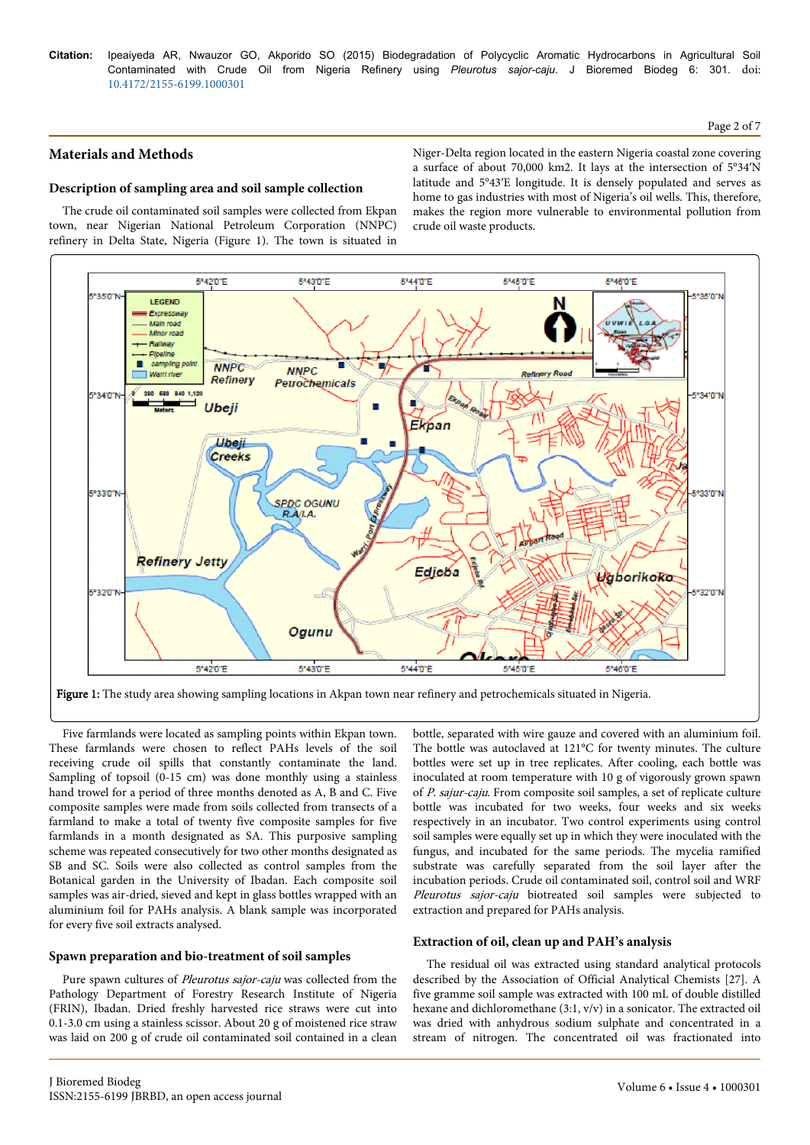## **Materials and Methods**

### **Description of sampling area and soil sample collection**

The crude oil contaminated soil samples were collected from Ekpan town, near Nigerian National Petroleum Corporation (NNPC) refinery in Delta State, Nigeria (Figure 1). The town is situated in

Niger-Delta region located in the eastern Nigeria coastal zone covering a surface of about 70,000 km2. It lays at the intersection of 5°34ʹN latitude and 5°43ʹE longitude. It is densely populated and serves as home to gas industries with most of Nigeria's oil wells. This, therefore, makes the region more vulnerable to environmental pollution from crude oil waste products.



Five farmlands were located as sampling points within Ekpan town. These farmlands were chosen to reflect PAHs levels of the soil receiving crude oil spills that constantly contaminate the land. Sampling of topsoil (0-15 cm) was done monthly using a stainless hand trowel for a period of three months denoted as A, B and C. Five composite samples were made from soils collected from transects of a farmland to make a total of twenty five composite samples for five farmlands in a month designated as SA. This purposive sampling scheme was repeated consecutively for two other months designated as SB and SC. Soils were also collected as control samples from the Botanical garden in the University of Ibadan. Each composite soil samples was air-dried, sieved and kept in glass bottles wrapped with an aluminium foil for PAHs analysis. A blank sample was incorporated for every five soil extracts analysed.

#### **Spawn preparation and bio-treatment of soil samples**

Pure spawn cultures of Pleurotus sajor-caju was collected from the Pathology Department of Forestry Research Institute of Nigeria (FRIN), Ibadan. Dried freshly harvested rice straws were cut into 0.1-3.0 cm using a stainless scissor. About 20 g of moistened rice straw was laid on 200 g of crude oil contaminated soil contained in a clean

bottle, separated with wire gauze and covered with an aluminium foil. The bottle was autoclaved at 121°C for twenty minutes. The culture bottles were set up in tree replicates. After cooling, each bottle was inoculated at room temperature with 10 g of vigorously grown spawn of P. sajur-caju. From composite soil samples, a set of replicate culture bottle was incubated for two weeks, four weeks and six weeks respectively in an incubator. Two control experiments using control soil samples were equally set up in which they were inoculated with the fungus, and incubated for the same periods. The mycelia ramified substrate was carefully separated from the soil layer after the incubation periods. Crude oil contaminated soil, control soil and WRF Pleurotus sajor-caju biotreated soil samples were subjected to extraction and prepared for PAHs analysis.

### **Extraction of oil, clean up and PAH's analysis**

The residual oil was extracted using standard analytical protocols described by the Association of Official Analytical Chemists [27]. A five gramme soil sample was extracted with 100 mL of double distilled hexane and dichloromethane (3:1, v/v) in a sonicator. The extracted oil was dried with anhydrous sodium sulphate and concentrated in a stream of nitrogen. The concentrated oil was fractionated into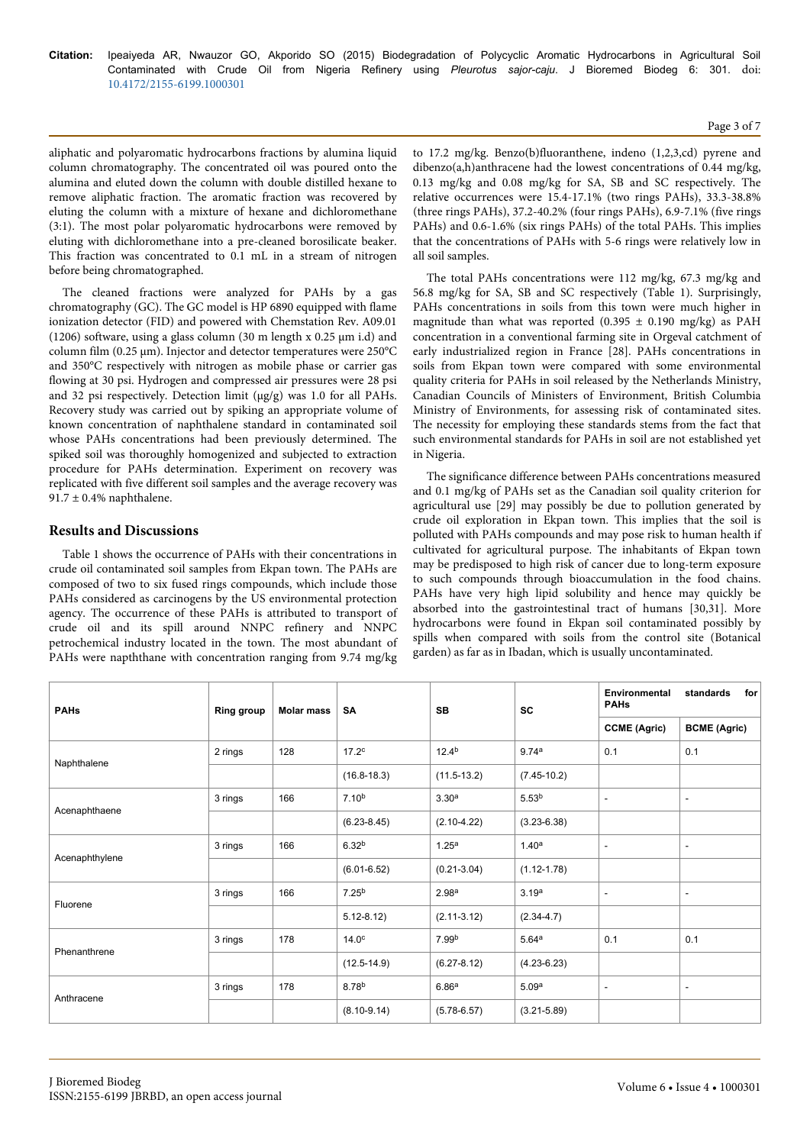aliphatic and polyaromatic hydrocarbons fractions by alumina liquid column chromatography. The concentrated oil was poured onto the alumina and eluted down the column with double distilled hexane to remove aliphatic fraction. The aromatic fraction was recovered by eluting the column with a mixture of hexane and dichloromethane (3:1). The most polar polyaromatic hydrocarbons were removed by eluting with dichloromethane into a pre-cleaned borosilicate beaker. This fraction was concentrated to 0.1 mL in a stream of nitrogen before being chromatographed.

The cleaned fractions were analyzed for PAHs by a gas chromatography (GC). The GC model is HP 6890 equipped with flame ionization detector (FID) and powered with Chemstation Rev. A09.01 (1206) software, using a glass column (30 m length x  $0.25 \mu m$  i.d) and column film (0.25  $\mu$ m). Injector and detector temperatures were 250°C and 350°C respectively with nitrogen as mobile phase or carrier gas flowing at 30 psi. Hydrogen and compressed air pressures were 28 psi and 32 psi respectively. Detection limit (µg/g) was 1.0 for all PAHs. Recovery study was carried out by spiking an appropriate volume of known concentration of naphthalene standard in contaminated soil whose PAHs concentrations had been previously determined. The spiked soil was thoroughly homogenized and subjected to extraction procedure for PAHs determination. Experiment on recovery was replicated with five different soil samples and the average recovery was  $91.7 \pm 0.4\%$  naphthalene.

## **Results and Discussions**

Table 1 shows the occurrence of PAHs with their concentrations in crude oil contaminated soil samples from Ekpan town. The PAHs are composed of two to six fused rings compounds, which include those PAHs considered as carcinogens by the US environmental protection agency. The occurrence of these PAHs is attributed to transport of crude oil and its spill around NNPC refinery and NNPC petrochemical industry located in the town. The most abundant of PAHs were napththane with concentration ranging from 9.74 mg/kg to 17.2 mg/kg. Benzo(b)fluoranthene, indeno (1,2,3,cd) pyrene and dibenzo(a,h)anthracene had the lowest concentrations of 0.44 mg/kg, 0.13 mg/kg and 0.08 mg/kg for SA, SB and SC respectively. The relative occurrences were 15.4-17.1% (two rings PAHs), 33.3-38.8% (three rings PAHs), 37.2-40.2% (four rings PAHs), 6.9-7.1% (five rings PAHs) and 0.6-1.6% (six rings PAHs) of the total PAHs. This implies that the concentrations of PAHs with 5-6 rings were relatively low in all soil samples.

The total PAHs concentrations were 112 mg/kg, 67.3 mg/kg and 56.8 mg/kg for SA, SB and SC respectively (Table 1). Surprisingly, PAHs concentrations in soils from this town were much higher in magnitude than what was reported (0.395  $\pm$  0.190 mg/kg) as PAH concentration in a conventional farming site in Orgeval catchment of early industrialized region in France [28]. PAHs concentrations in soils from Ekpan town were compared with some environmental quality criteria for PAHs in soil released by the Netherlands Ministry, Canadian Councils of Ministers of Environment, British Columbia Ministry of Environments, for assessing risk of contaminated sites. The necessity for employing these standards stems from the fact that such environmental standards for PAHs in soil are not established yet in Nigeria.

The significance difference between PAHs concentrations measured and 0.1 mg/kg of PAHs set as the Canadian soil quality criterion for agricultural use [29] may possibly be due to pollution generated by crude oil exploration in Ekpan town. This implies that the soil is polluted with PAHs compounds and may pose risk to human health if cultivated for agricultural purpose. The inhabitants of Ekpan town may be predisposed to high risk of cancer due to long-term exposure to such compounds through bioaccumulation in the food chains. PAHs have very high lipid solubility and hence may quickly be absorbed into the gastrointestinal tract of humans [30,31]. More hydrocarbons were found in Ekpan soil contaminated possibly by spills when compared with soils from the control site (Botanical garden) as far as in Ibadan, which is usually uncontaminated.

| <b>PAHs</b>    | <b>Ring group</b> | <b>Molar mass</b> | SA                | SB                | SC                | Environmental<br>standards<br>for<br><b>PAHs</b> |                          |
|----------------|-------------------|-------------------|-------------------|-------------------|-------------------|--------------------------------------------------|--------------------------|
|                |                   |                   |                   |                   |                   | <b>CCME (Agric)</b>                              | <b>BCME (Agric)</b>      |
| Naphthalene    | 2 rings           | 128               | 17.2 <sup>c</sup> | 12.4 <sup>b</sup> | 9.74a             | 0.1                                              | 0.1                      |
|                |                   |                   | $(16.8 - 18.3)$   | $(11.5-13.2)$     | $(7.45-10.2)$     |                                                  |                          |
| Acenaphthaene  | 3 rings           | 166               | $7.10^{b}$        | 3.30 <sup>a</sup> | 5.53 <sup>b</sup> | $\overline{\phantom{a}}$                         | $\overline{\phantom{a}}$ |
|                |                   |                   | $(6.23 - 8.45)$   | $(2.10-4.22)$     | $(3.23 - 6.38)$   |                                                  |                          |
| Acenaphthylene | 3 rings           | 166               | 6.32 <sup>b</sup> | 1.25 <sup>a</sup> | 1.40 <sup>a</sup> | $\overline{\phantom{a}}$                         |                          |
|                |                   |                   | $(6.01 - 6.52)$   | $(0.21 - 3.04)$   | $(1.12 - 1.78)$   |                                                  |                          |
| Fluorene       | 3 rings           | 166               | 7.25 <sup>b</sup> | 2.98 <sup>a</sup> | 3.19 <sup>a</sup> | ٠                                                | $\overline{\phantom{a}}$ |
|                |                   |                   | $5.12 - 8.12$     | $(2.11 - 3.12)$   | $(2.34 - 4.7)$    |                                                  |                          |
| Phenanthrene   | 3 rings           | 178               | 14.0 <sup>c</sup> | 7.99 <sup>b</sup> | 5.64 <sup>a</sup> | 0.1                                              | 0.1                      |
|                |                   |                   | $(12.5 - 14.9)$   | $(6.27 - 8.12)$   | $(4.23 - 6.23)$   |                                                  |                          |
| Anthracene     | 3 rings           | 178               | 8.78 <sup>b</sup> | 6.86 <sup>a</sup> | 5.09 <sup>a</sup> | $\overline{\phantom{a}}$                         | $\overline{\phantom{a}}$ |
|                |                   |                   | $(8.10 - 9.14)$   | $(5.78 - 6.57)$   | $(3.21 - 5.89)$   |                                                  |                          |

#### Page 3 of 7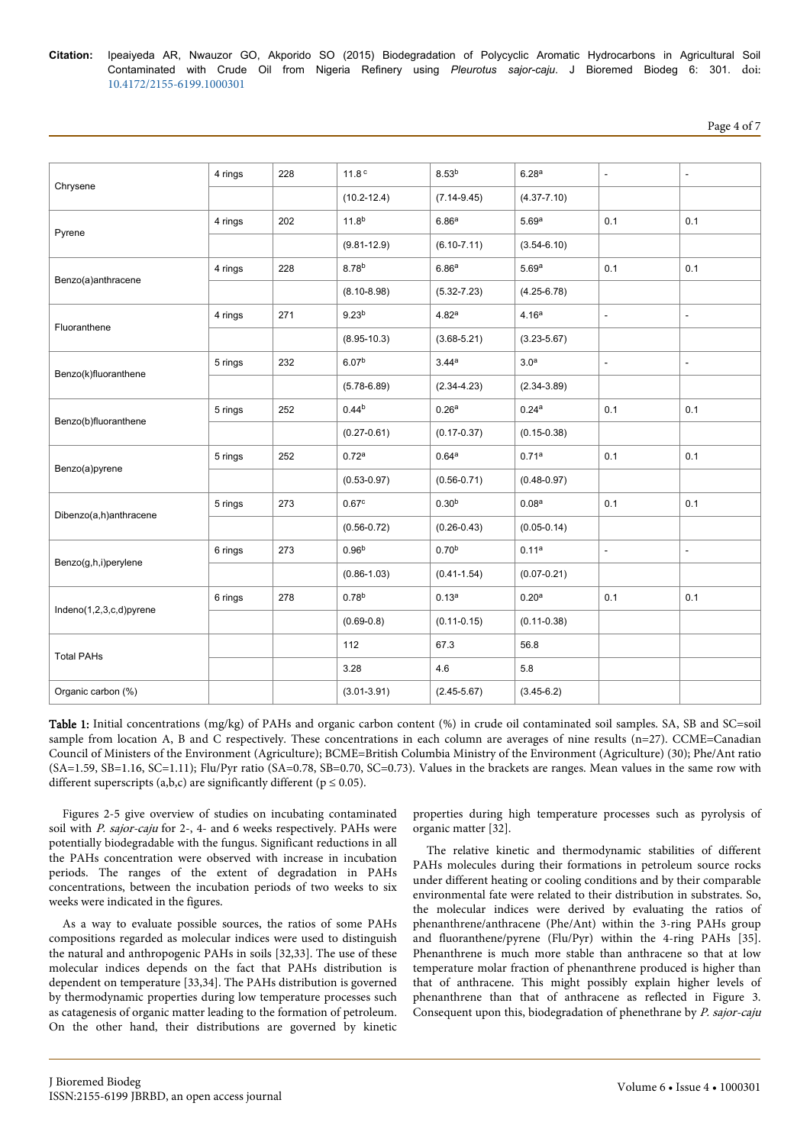**Citation:** Ipeaiyeda AR, Nwauzor GO, Akporido SO (2015) Biodegradation of Polycyclic Aromatic Hydrocarbons in Agricultural Soil Contaminated with Crude Oil from Nigeria Refinery using *Pleurotus sajor-caju*. J Bioremed Biodeg 6: 301. doi: 10.4172/2155-6199.1000301

| Page | 4 O.T |
|------|-------|
|------|-------|

| Chrysene                | 4 rings | 228 | 11.8 <sup>c</sup> | $8.53^{b}$        | 6.28 <sup>a</sup> | $\overline{\phantom{a}}$ | $\overline{\phantom{a}}$ |
|-------------------------|---------|-----|-------------------|-------------------|-------------------|--------------------------|--------------------------|
|                         |         |     | $(10.2 - 12.4)$   | $(7.14 - 9.45)$   | $(4.37 - 7.10)$   |                          |                          |
| Pyrene                  | 4 rings | 202 | 11.8 <sup>b</sup> | 6.86 <sup>a</sup> | 5.69a             | 0.1                      | 0.1                      |
|                         |         |     | $(9.81 - 12.9)$   | $(6.10 - 7.11)$   | $(3.54 - 6.10)$   |                          |                          |
| Benzo(a)anthracene      | 4 rings | 228 | 8.78 <sup>b</sup> | 6.86 <sup>a</sup> | 5.69 <sup>a</sup> | 0.1                      | 0.1                      |
|                         |         |     | $(8.10 - 8.98)$   | $(5.32 - 7.23)$   | $(4.25 - 6.78)$   |                          |                          |
| Fluoranthene            | 4 rings | 271 | 9.23 <sup>b</sup> | 4.82 <sup>a</sup> | 4.16 <sup>a</sup> | $\overline{\phantom{a}}$ | $\overline{\phantom{a}}$ |
|                         |         |     | $(8.95 - 10.3)$   | $(3.68 - 5.21)$   | $(3.23 - 5.67)$   |                          |                          |
| Benzo(k)fluoranthene    | 5 rings | 232 | 6.07 <sup>b</sup> | 3.44a             | 3.0 <sup>a</sup>  | ÷.                       | $\blacksquare$           |
|                         |         |     | $(5.78 - 6.89)$   | $(2.34 - 4.23)$   | $(2.34 - 3.89)$   |                          |                          |
| Benzo(b)fluoranthene    | 5 rings | 252 | 0.44 <sup>b</sup> | 0.26 <sup>a</sup> | 0.24a             | 0.1                      | 0.1                      |
|                         |         |     | $(0.27 - 0.61)$   | $(0.17 - 0.37)$   | $(0.15 - 0.38)$   |                          |                          |
| Benzo(a)pyrene          | 5 rings | 252 | 0.72a             | 0.64a             | 0.71a             | 0.1                      | 0.1                      |
|                         |         |     | $(0.53 - 0.97)$   | $(0.56 - 0.71)$   | $(0.48 - 0.97)$   |                          |                          |
| Dibenzo(a,h)anthracene  | 5 rings | 273 | 0.67 <sup>c</sup> | 0.30 <sup>b</sup> | 0.08 <sup>a</sup> | 0.1                      | 0.1                      |
|                         |         |     | $(0.56 - 0.72)$   | $(0.26 - 0.43)$   | $(0.05 - 0.14)$   |                          |                          |
| Benzo(g,h,i)perylene    | 6 rings | 273 | 0.96 <sup>b</sup> | 0.70 <sup>b</sup> | 0.11a             | $\overline{a}$           | $\blacksquare$           |
|                         |         |     | $(0.86 - 1.03)$   | $(0.41 - 1.54)$   | $(0.07 - 0.21)$   |                          |                          |
| Indeno(1,2,3,c,d)pyrene | 6 rings | 278 | 0.78 <sup>b</sup> | 0.13 <sup>a</sup> | 0.20 <sup>a</sup> | 0.1                      | 0.1                      |
|                         |         |     | $(0.69 - 0.8)$    | $(0.11 - 0.15)$   | $(0.11 - 0.38)$   |                          |                          |
| <b>Total PAHs</b>       |         |     | 112               | 67.3              | 56.8              |                          |                          |
|                         |         |     | 3.28              | 4.6               | 5.8               |                          |                          |
| Organic carbon (%)      |         |     | $(3.01 - 3.91)$   | $(2.45 - 5.67)$   | $(3.45 - 6.2)$    |                          |                          |

Table 1: Initial concentrations (mg/kg) of PAHs and organic carbon content (%) in crude oil contaminated soil samples. SA, SB and SC=soil sample from location A, B and C respectively. These concentrations in each column are averages of nine results (n=27). CCME=Canadian Council of Ministers of the Environment (Agriculture); BCME=British Columbia Ministry of the Environment (Agriculture) (30); Phe/Ant ratio (SA=1.59, SB=1.16, SC=1.11); Flu/Pyr ratio (SA=0.78, SB=0.70, SC=0.73). Values in the brackets are ranges. Mean values in the same row with different superscripts (a,b,c) are significantly different ( $p \le 0.05$ ).

Figures 2-5 give overview of studies on incubating contaminated soil with *P. sajor-caju* for 2-, 4- and 6 weeks respectively. PAHs were potentially biodegradable with the fungus. Significant reductions in all the PAHs concentration were observed with increase in incubation periods. The ranges of the extent of degradation in PAHs concentrations, between the incubation periods of two weeks to six weeks were indicated in the figures.

As a way to evaluate possible sources, the ratios of some PAHs compositions regarded as molecular indices were used to distinguish the natural and anthropogenic PAHs in soils [32,33]. The use of these molecular indices depends on the fact that PAHs distribution is dependent on temperature [33,34]. The PAHs distribution is governed by thermodynamic properties during low temperature processes such as catagenesis of organic matter leading to the formation of petroleum. On the other hand, their distributions are governed by kinetic

properties during high temperature processes such as pyrolysis of organic matter [32].

The relative kinetic and thermodynamic stabilities of different PAHs molecules during their formations in petroleum source rocks under different heating or cooling conditions and by their comparable environmental fate were related to their distribution in substrates. So, the molecular indices were derived by evaluating the ratios of phenanthrene/anthracene (Phe/Ant) within the 3-ring PAHs group and fluoranthene/pyrene (Flu/Pyr) within the 4-ring PAHs [35]. Phenanthrene is much more stable than anthracene so that at low temperature molar fraction of phenanthrene produced is higher than that of anthracene. This might possibly explain higher levels of phenanthrene than that of anthracene as reflected in Figure 3. Consequent upon this, biodegradation of phenethrane by P. sajor-caju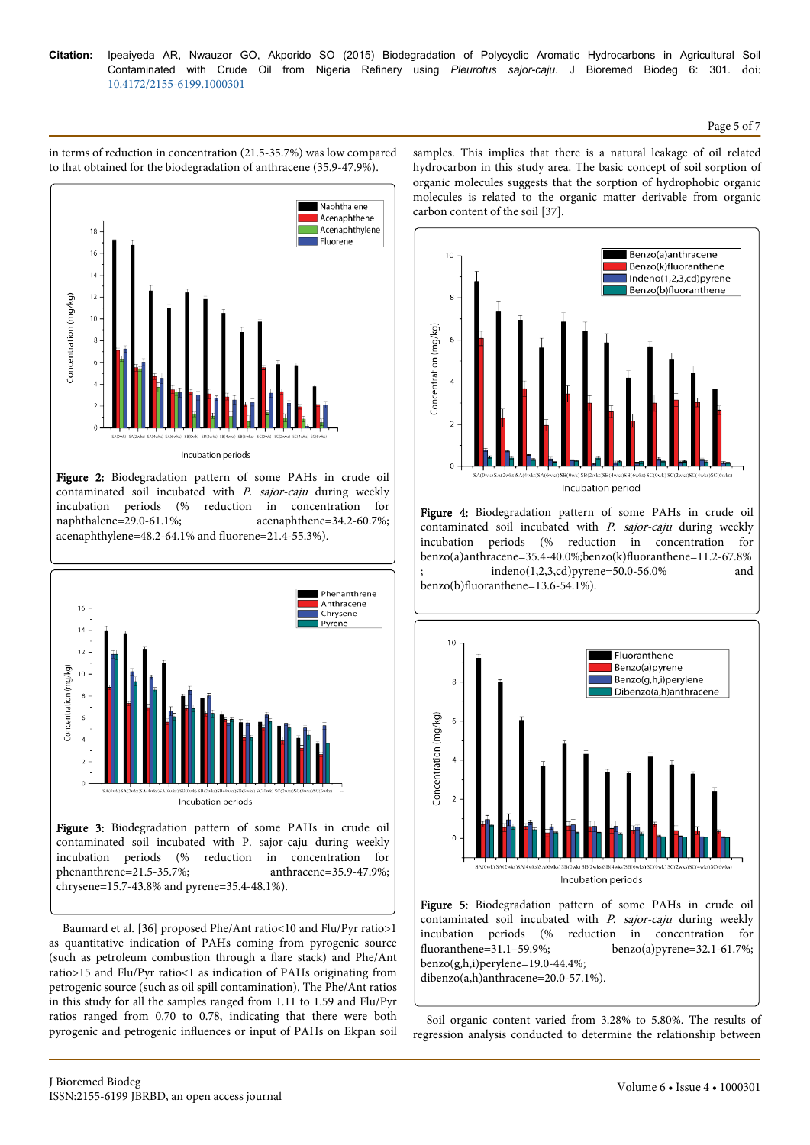in terms of reduction in concentration (21.5-35.7%) was low compared to that obtained for the biodegradation of anthracene (35.9-47.9%).



Figure 2: Biodegradation pattern of some PAHs in crude oil contaminated soil incubated with P. sajor-caju during weekly incubation periods (% reduction in concentration for naphthalene=29.0-61.1%; acenaphthene=34.2-60.7%; acenaphthylene=48.2-64.1% and fluorene=21.4-55.3%).





Baumard et al. [36] proposed Phe/Ant ratio<10 and Flu/Pyr ratio>1 as quantitative indication of PAHs coming from pyrogenic source (such as petroleum combustion through a flare stack) and Phe/Ant ratio>15 and Flu/Pyr ratio<1 as indication of PAHs originating from petrogenic source (such as oil spill contamination). The Phe/Ant ratios in this study for all the samples ranged from 1.11 to 1.59 and Flu/Pyr ratios ranged from 0.70 to 0.78, indicating that there were both pyrogenic and petrogenic influences or input of PAHs on Ekpan soil samples. This implies that there is a natural leakage of oil related hydrocarbon in this study area. The basic concept of soil sorption of organic molecules suggests that the sorption of hydrophobic organic molecules is related to the organic matter derivable from organic carbon content of the soil [37].



Figure 4: Biodegradation pattern of some PAHs in crude oil contaminated soil incubated with P. sajor-caju during weekly incubation periods (% reduction in concentration for benzo(a)anthracene=35.4-40.0%;benzo(k)fluoranthene=11.2-67.8% ; indeno(1,2,3,cd)pyrene=50.0-56.0% and benzo(b)fluoranthene=13.6-54.1%).



Figure 5: Biodegradation pattern of some PAHs in crude oil contaminated soil incubated with P. sajor-caju during weekly incubation periods (% reduction in concentration for<br>fluoranthene=31.1-59.9%; benzo(a)pyrene=32.1-61.7%;  $benzo(a)pyrene=32.1-61.7\%;$ benzo(g,h,i)perylene=19.0-44.4%; dibenzo(a,h)anthracene=20.0-57.1%).

Soil organic content varied from 3.28% to 5.80%. The results of regression analysis conducted to determine the relationship between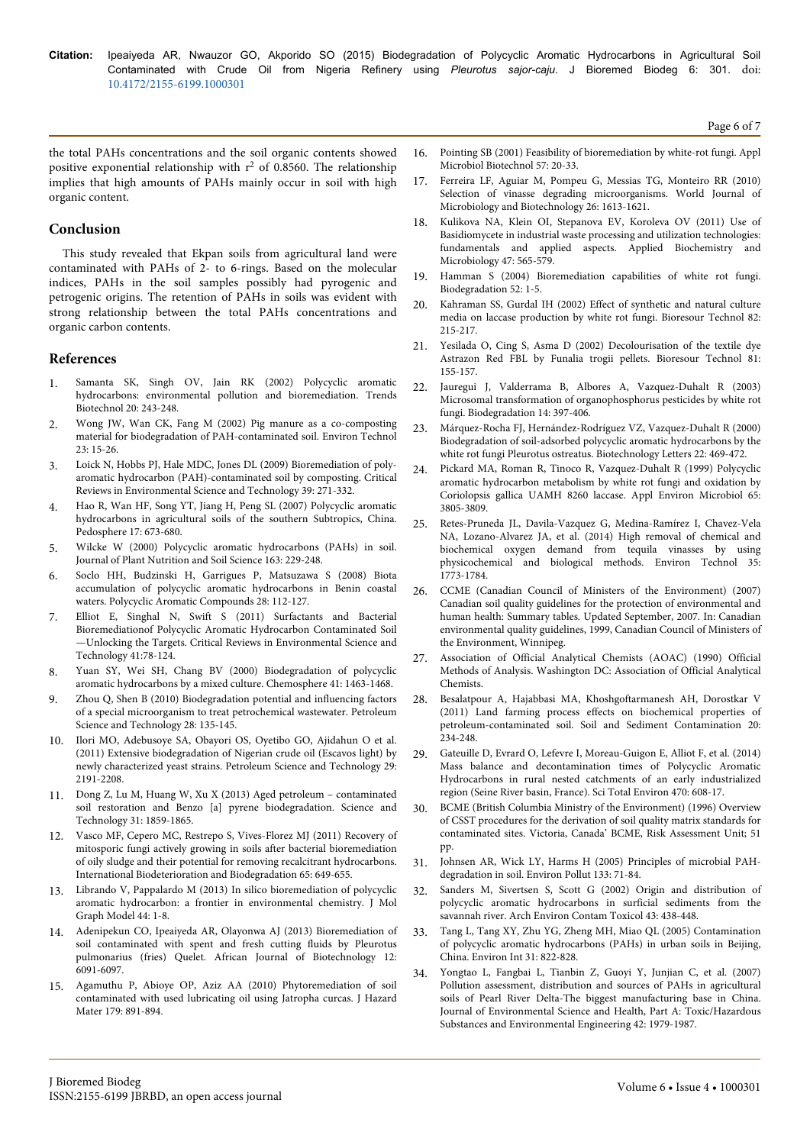Page 6 of 7

the total PAHs concentrations and the soil organic contents showed positive exponential relationship with  $r^2$  of 0.8560. The relationship implies that high amounts of PAHs mainly occur in soil with high organic content.

## **Conclusion**

This study revealed that Ekpan soils from agricultural land were contaminated with PAHs of 2- to 6-rings. Based on the molecular indices, PAHs in the soil samples possibly had pyrogenic and petrogenic origins. The retention of PAHs in soils was evident with strong relationship between the total PAHs concentrations and organic carbon contents.

#### **References**

- 1. [Samanta SK, Singh OV, Jain RK \(2002\) Polycyclic aromatic](http://www.ncbi.nlm.nih.gov/pubmed/12007492) [hydrocarbons: environmental pollution and bioremediation. Trends](http://www.ncbi.nlm.nih.gov/pubmed/12007492) [Biotechnol 20: 243-248.](http://www.ncbi.nlm.nih.gov/pubmed/12007492)
- 2. [Wong JW, Wan CK, Fang M \(2002\) Pig manure as a co-composting](http://www.ncbi.nlm.nih.gov/pubmed/11924580) [material for biodegradation of PAH-contaminated soil. Environ Technol](http://www.ncbi.nlm.nih.gov/pubmed/11924580) [23: 15-26.](http://www.ncbi.nlm.nih.gov/pubmed/11924580)
- 3. [Loick N, Hobbs PJ, Hale MDC, Jones DL \(2009\) Bioremediation of poly](http://www.tandfonline.com/doi/abs/10.1080/10643380701413682?journalCode=best20)[aromatic hydrocarbon \(PAH\)-contaminated soil by composting. Critical](http://www.tandfonline.com/doi/abs/10.1080/10643380701413682?journalCode=best20) [Reviews in Environmental Science and Technology 39: 271-332.](http://www.tandfonline.com/doi/abs/10.1080/10643380701413682?journalCode=best20)
- 4. [Hao R, Wan HF, Song YT, Jiang H, Peng SL \(2007\) Polycyclic aromatic](http://www.sciencedirect.com/science/article/pii/S1002016007600812) [hydrocarbons in agricultural soils of the southern Subtropics, China.](http://www.sciencedirect.com/science/article/pii/S1002016007600812) [Pedosphere 17: 673-680.](http://www.sciencedirect.com/science/article/pii/S1002016007600812)
- 5. [Wilcke W \(2000\) Polycyclic aromatic hydrocarbons \(PAHs\) in soil.](http://onlinelibrary.wiley.com/doi/10.1002/1522-2624%28200006%29163:3%3C229::AID-JPLN229%3E3.0.CO;2-6/abstract;jsessionid=DB1FA35CDAE9AC3CBB72B92DB4DB86FD.f01t01) [Journal of Plant Nutrition and Soil Science 163: 229-248.](http://onlinelibrary.wiley.com/doi/10.1002/1522-2624%28200006%29163:3%3C229::AID-JPLN229%3E3.0.CO;2-6/abstract;jsessionid=DB1FA35CDAE9AC3CBB72B92DB4DB86FD.f01t01)
- 6. [Soclo HH, Budzinski H, Garrigues P, Matsuzawa S \(2008\) Biota](http://www.tandfonline.com/doi/abs/10.1080/10406630801940530) [accumulation of polycyclic aromatic hydrocarbons in Benin coastal](http://www.tandfonline.com/doi/abs/10.1080/10406630801940530) [waters. Polycyclic Aromatic Compounds 28: 112-127.](http://www.tandfonline.com/doi/abs/10.1080/10406630801940530)
- 7. [Elliot E, Singhal N, Swift S \(2011\) Surfactants and Bacterial](http://www.tandfonline.com/doi/abs/10.1080/00102200802641798) [Bioremediationof Polycyclic Aromatic Hydrocarbon Contaminated Soil](http://www.tandfonline.com/doi/abs/10.1080/00102200802641798) [—Unlocking the Targets. Critical Reviews in Environmental Science and](http://www.tandfonline.com/doi/abs/10.1080/00102200802641798) [Technology 41:78-124.](http://www.tandfonline.com/doi/abs/10.1080/00102200802641798)
- 8. [Yuan SY, Wei SH, Chang BV \(2000\) Biodegradation of polycyclic](http://www.ncbi.nlm.nih.gov/pubmed/11057584) [aromatic hydrocarbons by a mixed culture. Chemosphere 41: 1463-1468.](http://www.ncbi.nlm.nih.gov/pubmed/11057584)
- 9. [Zhou Q, Shen B \(2010\) Biodegradation potential and influencing factors](http://www.tandfonline.com/doi/abs/10.1080/10916460903066080) [of a special microorganism to treat petrochemical wastewater. Petroleum](http://www.tandfonline.com/doi/abs/10.1080/10916460903066080) [Science and Technology 28: 135-145.](http://www.tandfonline.com/doi/abs/10.1080/10916460903066080)
- 10. Ilori MO, Adebusoye SA, Obayori OS, Oyetibo GO, Ajidahun O et al. (2011) Extensive biodegradation of Nigerian crude oil (Escavos light) by newly characterized yeast strains. Petroleum Science and Technology 29: 2191-2208.
- 11. [Dong Z, Lu M, Huang W, Xu X \(2013\) Aged petroleum contaminated](http://www.tandfonline.com/doi/abs/10.1080/10916466.2011.634876) [soil restoration and Benzo \[a\] pyrene biodegradation. Science and](http://www.tandfonline.com/doi/abs/10.1080/10916466.2011.634876) [Technology 31: 1859-1865.](http://www.tandfonline.com/doi/abs/10.1080/10916466.2011.634876)
- 12. [Vasco MF, Cepero MC, Restrepo S, Vives-Florez MJ \(2011\) Recovery of](http://www.sciencedirect.com/science/article/pii/S0964830511000643) [mitosporic fungi actively growing in soils after bacterial bioremediation](http://www.sciencedirect.com/science/article/pii/S0964830511000643) [of oily sludge and their potential for removing recalcitrant hydrocarbons.](http://www.sciencedirect.com/science/article/pii/S0964830511000643) [International Biodeterioration and Biodegradation 65: 649-655.](http://www.sciencedirect.com/science/article/pii/S0964830511000643)
- 13. [Librando V, Pappalardo M \(2013\) In silico bioremediation of polycyclic](http://www.ncbi.nlm.nih.gov/pubmed/23732301) [aromatic hydrocarbon: a frontier in environmental chemistry. J Mol](http://www.ncbi.nlm.nih.gov/pubmed/23732301) [Graph Model 44: 1-8.](http://www.ncbi.nlm.nih.gov/pubmed/23732301)
- 14. [Adenipekun CO, Ipeaiyeda AR, Olayonwa AJ \(2013\) Bioremediation of](http://www.academicjournals.org/article/article1381768809_Adenipekun%20et%20al.pdf) [soil contaminated with spent and fresh cutting fluids by Pleurotus](http://www.academicjournals.org/article/article1381768809_Adenipekun%20et%20al.pdf) [pulmonarius \(fries\) Quelet. African Journal of Biotechnology 12:](http://www.academicjournals.org/article/article1381768809_Adenipekun%20et%20al.pdf) [6091-6097.](http://www.academicjournals.org/article/article1381768809_Adenipekun%20et%20al.pdf)
- 15. [Agamuthu P, Abioye OP, Aziz AA \(2010\) Phytoremediation of soil](http://www.ncbi.nlm.nih.gov/pubmed/20392562) [contaminated with used lubricating oil using Jatropha curcas. J Hazard](http://www.ncbi.nlm.nih.gov/pubmed/20392562) [Mater 179: 891-894.](http://www.ncbi.nlm.nih.gov/pubmed/20392562)
- 16. [Pointing SB \(2001\) Feasibility of bioremediation by white-rot fungi. Appl](http://www.ncbi.nlm.nih.gov/pubmed/11693920) [Microbiol Biotechnol 57: 20-33.](http://www.ncbi.nlm.nih.gov/pubmed/11693920)
- 17. [Ferreira LF, Aguiar M, Pompeu G, Messias TG, Monteiro RR \(2010\)](http://link.springer.com/article/10.1007/s11274-010-0337-3) [Selection of vinasse degrading microorganisms. World Journal of](http://link.springer.com/article/10.1007/s11274-010-0337-3) [Microbiology and Biotechnology 26: 1613-1621.](http://link.springer.com/article/10.1007/s11274-010-0337-3)
- 18. [Kulikova NA, Klein OI, Stepanova EV, Koroleva OV \(2011\) Use of](http://link.springer.com/article/10.1134/S000368381106007X) [Basidiomycete in industrial waste processing and utilization technologies:](http://link.springer.com/article/10.1134/S000368381106007X) [fundamentals and applied aspects. Applied Biochemistry and](http://link.springer.com/article/10.1134/S000368381106007X) [Microbiology 47: 565-579.](http://link.springer.com/article/10.1134/S000368381106007X)
- 19. Hamman S (2004) Bioremediation capabilities of white rot fungi. Biodegradation 52: 1-5.
- 20. [Kahraman SS, Gurdal IH \(2002\) Effect of synthetic and natural culture](http://www.ncbi.nlm.nih.gov/pubmed/11991068) [media on laccase production by white rot fungi. Bioresour Technol 82:](http://www.ncbi.nlm.nih.gov/pubmed/11991068) [215-217.](http://www.ncbi.nlm.nih.gov/pubmed/11991068)
- 21. [Yesilada O, Cing S, Asma D \(2002\) Decolourisation of the textile dye](http://www.ncbi.nlm.nih.gov/pubmed/11762908) [Astrazon Red FBL by Funalia trogii pellets. Bioresour Technol 81:](http://www.ncbi.nlm.nih.gov/pubmed/11762908) [155-157.](http://www.ncbi.nlm.nih.gov/pubmed/11762908)
- 22. [Jauregui J, Valderrama B, Albores A, Vazquez-Duhalt R \(2003\)](http://www.ncbi.nlm.nih.gov/pubmed/14669870) [Microsomal transformation of organophosphorus pesticides by white rot](http://www.ncbi.nlm.nih.gov/pubmed/14669870) [fungi. Biodegradation 14: 397-406.](http://www.ncbi.nlm.nih.gov/pubmed/14669870)
- 23. [Márquez-Rocha FJ, Hernández-Rodríguez VZ, Vazquez-Duhalt R \(2000\)](http://link.springer.com/article/10.1023/A:1005663419547) [Biodegradation of soil-adsorbed polycyclic aromatic hydrocarbons by the](http://link.springer.com/article/10.1023/A:1005663419547) [white rot fungi Pleurotus ostreatus. Biotechnology Letters 22: 469-472.](http://link.springer.com/article/10.1023/A:1005663419547)
- 24. [Pickard MA, Roman R, Tinoco R, Vazquez-Duhalt R \(1999\) Polycyclic](http://www.ncbi.nlm.nih.gov/pubmed/10473379) [aromatic hydrocarbon metabolism by white rot fungi and oxidation by](http://www.ncbi.nlm.nih.gov/pubmed/10473379) [Coriolopsis gallica UAMH 8260 laccase. Appl Environ Microbiol 65:](http://www.ncbi.nlm.nih.gov/pubmed/10473379) [3805-3809.](http://www.ncbi.nlm.nih.gov/pubmed/10473379)
- 25. [Retes-Pruneda JL, Davila-Vazquez G, Medina-Ramírez I, Chavez-Vela](http://www.ncbi.nlm.nih.gov/pubmed/24956770) [NA, Lozano-Alvarez JA, et al. \(2014\) High removal of chemical and](http://www.ncbi.nlm.nih.gov/pubmed/24956770) [biochemical oxygen demand from tequila vinasses by using](http://www.ncbi.nlm.nih.gov/pubmed/24956770) [physicochemical and biological methods. Environ Technol 35:](http://www.ncbi.nlm.nih.gov/pubmed/24956770) [1773-1784.](http://www.ncbi.nlm.nih.gov/pubmed/24956770)
- 26. CCME (Canadian Council of Ministers of the Environment) (2007) Canadian soil quality guidelines for the protection of environmental and human health: Summary tables. Updated September, 2007. In: Canadian environmental quality guidelines, 1999, Canadian Council of Ministers of the Environment, Winnipeg.
- 27. Association of Official Analytical Chemists (AOAC) (1990) Official Methods of Analysis. Washington DC: Association of Official Analytical Chemists.
- 28. [Besalatpour A, Hajabbasi MA, Khoshgoftarmanesh AH, Dorostkar V](http://www.tandfonline.com/doi/abs/10.1080/15320383.2011.546447) [\(2011\) Land farming process effects on biochemical properties of](http://www.tandfonline.com/doi/abs/10.1080/15320383.2011.546447) [petroleum-contaminated soil. Soil and Sediment Contamination 20:](http://www.tandfonline.com/doi/abs/10.1080/15320383.2011.546447) [234-248.](http://www.tandfonline.com/doi/abs/10.1080/15320383.2011.546447)
- 29. [Gateuille D, Evrard O, Lefevre I, Moreau-Guigon E, Alliot F, et al. \(2014\)](http://www.ncbi.nlm.nih.gov/pubmed/24176709) [Mass balance and decontamination times of Polycyclic Aromatic](http://www.ncbi.nlm.nih.gov/pubmed/24176709) [Hydrocarbons in rural nested catchments of an early industrialized](http://www.ncbi.nlm.nih.gov/pubmed/24176709) [region \(Seine River basin, France\). Sci Total Environ 470: 608-17.](http://www.ncbi.nlm.nih.gov/pubmed/24176709)
- 30. BCME (British Columbia Ministry of the Environment) (1996) Overview of CSST procedures for the derivation of soil quality matrix standards for contaminated sites. Victoria, Canada' BCME, Risk Assessment Unit; 51 pp.
- 31. [Johnsen AR, Wick LY, Harms H \(2005\) Principles of microbial PAH](http://www.ncbi.nlm.nih.gov/pubmed/15327858)[degradation in soil. Environ Pollut 133: 71-84.](http://www.ncbi.nlm.nih.gov/pubmed/15327858)
- 32. [Sanders M, Sivertsen S, Scott G \(2002\) Origin and distribution of](http://www.ncbi.nlm.nih.gov/pubmed/12399915) [polycyclic aromatic hydrocarbons in surficial sediments from the](http://www.ncbi.nlm.nih.gov/pubmed/12399915) [savannah river. Arch Environ Contam Toxicol 43: 438-448.](http://www.ncbi.nlm.nih.gov/pubmed/12399915)
- 33. [Tang L, Tang XY, Zhu YG, Zheng MH, Miao QL \(2005\) Contamination](http://www.ncbi.nlm.nih.gov/pubmed/15992927) [of polycyclic aromatic hydrocarbons \(PAHs\) in urban soils in Beijing,](http://www.ncbi.nlm.nih.gov/pubmed/15992927) [China. Environ Int 31: 822-828.](http://www.ncbi.nlm.nih.gov/pubmed/15992927)
- 34. [Yongtao L, Fangbai L, Tianbin Z, Guoyi Y, Junjian C, et al. \(2007\)](http://www.tandfonline.com/doi/abs/10.1080/10934520701628890) [Pollution assessment, distribution and sources of PAHs in agricultural](http://www.tandfonline.com/doi/abs/10.1080/10934520701628890) [soils of Pearl River Delta-The biggest manufacturing base in China.](http://www.tandfonline.com/doi/abs/10.1080/10934520701628890) [Journal of Environmental Science and Health, Part A: Toxic/Hazardous](http://www.tandfonline.com/doi/abs/10.1080/10934520701628890) [Substances and Environmental Engineering 42: 1979-1987.](http://www.tandfonline.com/doi/abs/10.1080/10934520701628890)